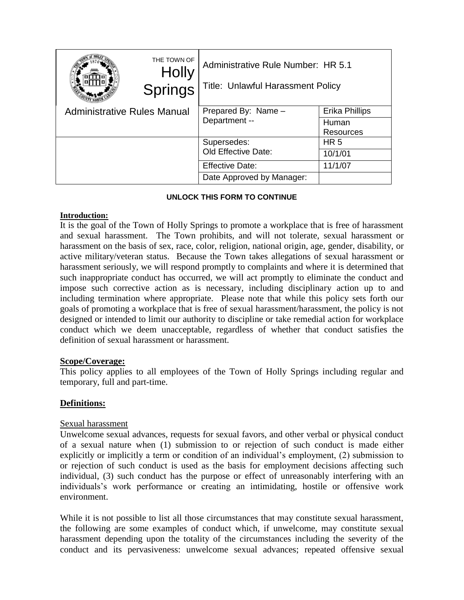|                                    | THE TOWN OF<br><b>Holly</b><br><b>Springs</b> | Administrative Rule Number: HR 5.1<br><b>Title: Unlawful Harassment Policy</b> |                    |
|------------------------------------|-----------------------------------------------|--------------------------------------------------------------------------------|--------------------|
| <b>Administrative Rules Manual</b> |                                               | Prepared By: Name -<br>Department --                                           | Erika Phillips     |
|                                    |                                               |                                                                                | Human<br>Resources |
|                                    |                                               | Supersedes:                                                                    | HR <sub>5</sub>    |
|                                    |                                               | <b>Old Effective Date:</b>                                                     | 10/1/01            |
|                                    |                                               | <b>Effective Date:</b>                                                         | 11/1/07            |
|                                    |                                               | Date Approved by Manager:                                                      |                    |

## **UNLOCK THIS FORM TO CONTINUE**

### **Introduction:**

It is the goal of the Town of Holly Springs to promote a workplace that is free of harassment and sexual harassment. The Town prohibits, and will not tolerate, sexual harassment or harassment on the basis of sex, race, color, religion, national origin, age, gender, disability, or active military/veteran status. Because the Town takes allegations of sexual harassment or harassment seriously, we will respond promptly to complaints and where it is determined that such inappropriate conduct has occurred, we will act promptly to eliminate the conduct and impose such corrective action as is necessary, including disciplinary action up to and including termination where appropriate. Please note that while this policy sets forth our goals of promoting a workplace that is free of sexual harassment/harassment, the policy is not designed or intended to limit our authority to discipline or take remedial action for workplace conduct which we deem unacceptable, regardless of whether that conduct satisfies the definition of sexual harassment or harassment.

## **Scope/Coverage:**

This policy applies to all employees of the Town of Holly Springs including regular and temporary, full and part-time.

## **Definitions:**

## Sexual harassment

Unwelcome sexual advances, requests for sexual favors, and other verbal or physical conduct of a sexual nature when (1) submission to or rejection of such conduct is made either explicitly or implicitly a term or condition of an individual's employment, (2) submission to or rejection of such conduct is used as the basis for employment decisions affecting such individual, (3) such conduct has the purpose or effect of unreasonably interfering with an individuals's work performance or creating an intimidating, hostile or offensive work environment.

While it is not possible to list all those circumstances that may constitute sexual harassment, the following are some examples of conduct which, if unwelcome, may constitute sexual harassment depending upon the totality of the circumstances including the severity of the conduct and its pervasiveness: unwelcome sexual advances; repeated offensive sexual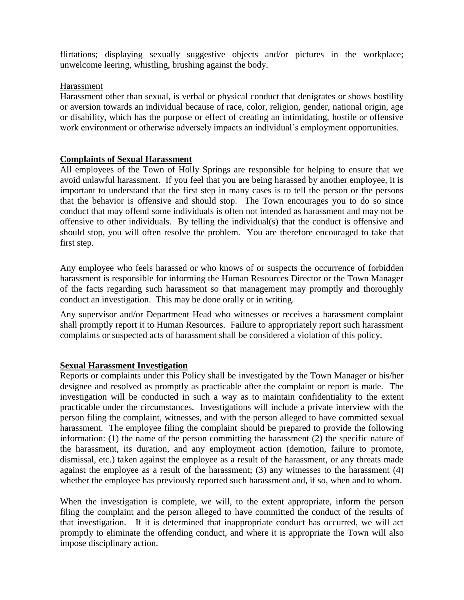flirtations; displaying sexually suggestive objects and/or pictures in the workplace; unwelcome leering, whistling, brushing against the body.

# Harassment

Harassment other than sexual, is verbal or physical conduct that denigrates or shows hostility or aversion towards an individual because of race, color, religion, gender, national origin, age or disability, which has the purpose or effect of creating an intimidating, hostile or offensive work environment or otherwise adversely impacts an individual's employment opportunities.

# **Complaints of Sexual Harassment**

All employees of the Town of Holly Springs are responsible for helping to ensure that we avoid unlawful harassment. If you feel that you are being harassed by another employee, it is important to understand that the first step in many cases is to tell the person or the persons that the behavior is offensive and should stop. The Town encourages you to do so since conduct that may offend some individuals is often not intended as harassment and may not be offensive to other individuals. By telling the individual(s) that the conduct is offensive and should stop, you will often resolve the problem. You are therefore encouraged to take that first step.

Any employee who feels harassed or who knows of or suspects the occurrence of forbidden harassment is responsible for informing the Human Resources Director or the Town Manager of the facts regarding such harassment so that management may promptly and thoroughly conduct an investigation. This may be done orally or in writing.

Any supervisor and/or Department Head who witnesses or receives a harassment complaint shall promptly report it to Human Resources. Failure to appropriately report such harassment complaints or suspected acts of harassment shall be considered a violation of this policy.

## **Sexual Harassment Investigation**

Reports or complaints under this Policy shall be investigated by the Town Manager or his/her designee and resolved as promptly as practicable after the complaint or report is made. The investigation will be conducted in such a way as to maintain confidentiality to the extent practicable under the circumstances. Investigations will include a private interview with the person filing the complaint, witnesses, and with the person alleged to have committed sexual harassment. The employee filing the complaint should be prepared to provide the following information: (1) the name of the person committing the harassment (2) the specific nature of the harassment, its duration, and any employment action (demotion, failure to promote, dismissal, etc.) taken against the employee as a result of the harassment, or any threats made against the employee as a result of the harassment; (3) any witnesses to the harassment (4) whether the employee has previously reported such harassment and, if so, when and to whom.

When the investigation is complete, we will, to the extent appropriate, inform the person filing the complaint and the person alleged to have committed the conduct of the results of that investigation. If it is determined that inappropriate conduct has occurred, we will act promptly to eliminate the offending conduct, and where it is appropriate the Town will also impose disciplinary action.